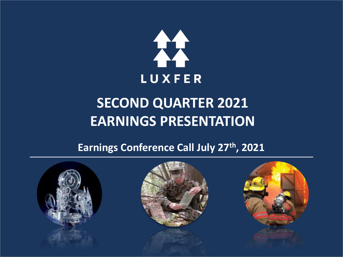

# **SECOND QUARTER 2021 EARNINGS PRESENTATION**

### **Earnings Conference Call July 27th, 2021**

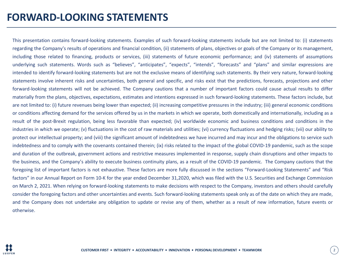### **FORWARD-LOOKING STATEMENTS**

This presentation contains forward-looking statements. Examples of such forward-looking statements include but are not limited to: (i) statements regarding the Company's results of operations and financial condition, (ii) statements of plans, objectives or goals of the Company or its management, including those related to financing, products or services, (iii) statements of future economic performance; and (iv) statements of assumptions underlying such statements. Words such as "believes", "anticipates", "expects", "intends", "forecasts" and "plans" and similar expressions are intended to identify forward-looking statements but are not the exclusive means of identifying such statements. By their very nature, forward-looking statements involve inherent risks and uncertainties, both general and specific, and risks exist that the predictions, forecasts, projections and other forward-looking statements will not be achieved. The Company cautions that a number of important factors could cause actual results to differ materially from the plans, objectives, expectations, estimates and intentions expressed in such forward-looking statements. These factors include, but are not limited to: (i) future revenues being lower than expected; (ii) increasing competitive pressures in the industry; (iii) general economic conditions or conditions affecting demand for the services offered by us in the markets in which we operate, both domestically and internationally, including as a result of the post-Brexit regulation, being less favorable than expected; (iv) worldwide economic and business conditions and conditions in the industries in which we operate; (v) fluctuations in the cost of raw materials and utilities; (vi) currency fluctuations and hedging risks; (vii) our ability to protect our intellectual property; and (viii) the significant amount of indebtedness we have incurred and may incur and the obligations to service such indebtedness and to comply with the covenants contained therein; (ix) risks related to the impact of the global COVID-19 pandemic, such as the scope and duration of the outbreak, government actions and restrictive measures implemented in response, supply chain disruptions and other impacts to the business, and the Company's ability to execute business continuity plans, as a result of the COVID-19 pandemic. The Company cautions that the foregoing list of important factors is not exhaustive. These factors are more fully discussed in the sections "Forward-Looking Statements" and "Risk factors" in our Annual Report on Form 10-K for the year ended December 31,2020, which was filed with the U.S. Securities and Exchange Commission on March 2, 2021. When relying on forward-looking statements to make decisions with respect to the Company, investors and others should carefully consider the foregoing factors and other uncertainties and events. Such forward-looking statements speak only as of the date on which they are made, and the Company does not undertake any obligation to update or revise any of them, whether as a result of new information, future events or otherwise.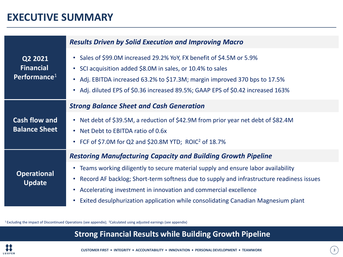### **EXECUTIVE SUMMARY**

|                                                | <b>Results Driven by Solid Execution and Improving Macro</b>                                                                                                                                                                                                                                                                       |
|------------------------------------------------|------------------------------------------------------------------------------------------------------------------------------------------------------------------------------------------------------------------------------------------------------------------------------------------------------------------------------------|
| Q2 2021<br><b>Financial</b><br>Performance $1$ | Sales of \$99.0M increased 29.2% YoY, FX benefit of \$4.5M or 5.9%<br>$\bullet$<br>SCI acquisition added \$8.0M in sales, or 10.4% to sales<br>$\bullet$<br>Adj. EBITDA increased 63.2% to \$17.3M; margin improved 370 bps to 17.5%<br>Adj. diluted EPS of \$0.36 increased 89.5%; GAAP EPS of \$0.42 increased 163%<br>$\bullet$ |
|                                                | <b>Strong Balance Sheet and Cash Generation</b>                                                                                                                                                                                                                                                                                    |
| <b>Cash flow and</b><br><b>Balance Sheet</b>   | Net debt of \$39.5M, a reduction of \$42.9M from prior year net debt of \$82.4M<br>$\bullet$<br>Net Debt to EBITDA ratio of 0.6x<br>$\bullet$<br>FCF of \$7.0M for Q2 and \$20.8M YTD; ROIC <sup>2</sup> of $18.7\%$<br>$\bullet$                                                                                                  |
|                                                | <b>Restoring Manufacturing Capacity and Building Growth Pipeline</b>                                                                                                                                                                                                                                                               |
| <b>Operational</b><br><b>Update</b>            | Teams working diligently to secure material supply and ensure labor availability<br>$\bullet$<br>Record AF backlog; Short-term softness due to supply and infrastructure readiness issues<br>Accelerating investment in innovation and commercial excellence                                                                       |
|                                                | Exited desulphurization application while consolidating Canadian Magnesium plant<br>$\bullet$                                                                                                                                                                                                                                      |

<sup>1</sup> Excluding the impact of Discontinued Operations (see appendix); <sup>2</sup>Calculated using adjusted earnings (see appendix)

#### **Strong Financial Results while Building Growth Pipeline**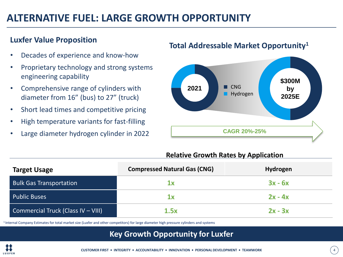### **ALTERNATIVE FUEL: LARGE GROWTH OPPORTUNITY**

### **Luxfer Value Proposition**

- Decades of experience and know-how
- Proprietary technology and strong systems engineering capability
- Comprehensive range of cylinders with diameter from 16" (bus) to 27" (truck)
- Short lead times and competitive pricing
- High temperature variants for fast-filling
- Large diameter hydrogen cylinder in 2022

#### **Total Addressable Market Opportunity<sup>1</sup>**



#### **Relative Growth Rates by Application**

| <b>Target Usage</b>                | <b>Compressed Natural Gas (CNG)</b> | Hydrogen  |
|------------------------------------|-------------------------------------|-----------|
| <b>Bulk Gas Transportation</b>     | 1 x                                 | $3x - 6x$ |
| <b>Public Buses</b>                | 1x                                  | $2x - 4x$ |
| Commercial Truck (Class IV - VIII) | 1.5x                                | $2x - 3x$ |

<sup>1</sup> Internal Company Estimates for total market size (Luxfer and other competitors) for large diameter high pressure cylinders and systems

#### **Key Growth Opportunity for Luxfer**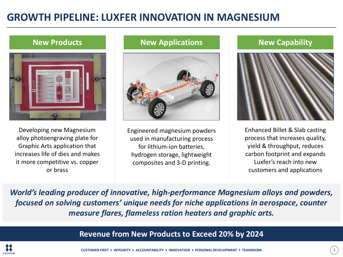### **GROWTH PIPELINE: LUXFER INNOVATION IN MAGNESIUM**

#### **New Products**



Developing new Magnesium alloy photoengraving plate for Graphic Arts application that increases life of dies and makes it more competitive vs. copper or brass

### **New Applications New Capability**



Engineered magnesium powders used in manufacturing process for lithium-ion batteries, hydrogen storage, lightweight composites and 3-D printing.



Enhanced Billet & Slab casting process that increases quality, yield & throughput, reduces carbon footprint and expands Luxfer's reach into new customers and applications

*World's leading producer of innovative, high-performance Magnesium alloys and powders, focused on solving customers' unique needs for niche applications in aerospace, counter measure flares, flameless ration heaters and graphic arts.* 

**Revenue from New Products to Exceed 20% by 2024**

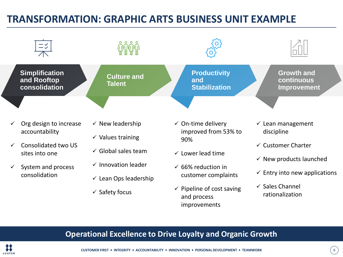### **TRANSFORMATION: GRAPHIC ARTS BUSINESS UNIT EXAMPLE**



LUXFER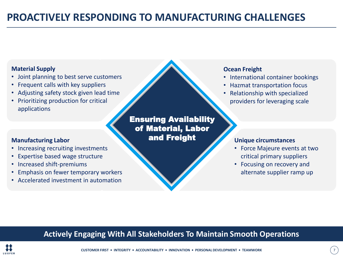#### **Material Supply**

- Joint planning to best serve customers
- Frequent calls with key suppliers
- Adjusting safety stock given lead time
- Prioritizing production for critical applications

Ensuring Availability of Material, Labor and Freight

#### **Manufacturing Labor**

- Increasing recruiting investments
- Expertise based wage structure
- Increased shift-premiums
- Emphasis on fewer temporary workers
- Accelerated investment in automation

#### **Ocean Freight**

- International container bookings
- Hazmat transportation focus
- Relationship with specialized providers for leveraging scale

#### **Unique circumstances**

- Force Majeure events at two critical primary suppliers
- Focusing on recovery and alternate supplier ramp up

#### **Actively Engaging With All Stakeholders To Maintain Smooth Operations**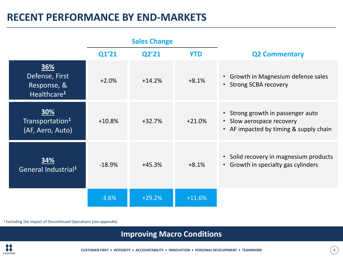### **RECENT PERFORMANCE BY END-MARKETS**

|                                                                 |          | <b>Sales Change</b> |            |                                                                                                                                |
|-----------------------------------------------------------------|----------|---------------------|------------|--------------------------------------------------------------------------------------------------------------------------------|
|                                                                 | Q1'21    | Q2'21               | <b>YTD</b> | <b>Q2 Commentary</b>                                                                                                           |
| 36%<br>Defense, First<br>Response, &<br>Healthcare <sup>1</sup> | $+2.0%$  | $+14.2%$            | $+8.1%$    | Growth in Magnesium defense sales<br>$\bullet$<br><b>Strong SCBA recovery</b><br>$\bullet$                                     |
| <u>30%</u><br>Transportation <sup>1</sup><br>(AF, Aero, Auto)   | $+10.8%$ | $+32.7%$            | $+21.0%$   | • Strong growth in passenger auto<br>Slow aerospace recovery<br>$\bullet$<br>AF impacted by timing & supply chain<br>$\bullet$ |
| 34%<br>General Industrial <sup>1</sup>                          | $-18.9%$ | $+45.3%$            | $+8.1%$    | • Solid recovery in magnesium products<br>• Growth in specialty gas cylinders                                                  |
|                                                                 | $-3.6%$  | $+29.2%$            | $+11.6%$   |                                                                                                                                |

1 Excluding the impact of Discontinued Operations (see appendix)

### **Improving Macro Conditions**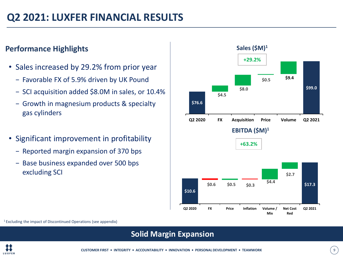## **Q2 2021: LUXFER FINANCIAL RESULTS**

#### **Performance Highlights**

- Sales increased by 29.2% from prior year
	- − Favorable FX of 5.9% driven by UK Pound
	- − SCI acquisition added \$8.0M in sales, or 10.4%
	- − Growth in magnesium products & specialty gas cylinders
- Significant improvement in profitability
	- − Reported margin expansion of 370 bps
	- − Base business expanded over 500 bps excluding SCI



1 Excluding the impact of Discontinued Operations (see appendix)

### **Solid Margin Expansion**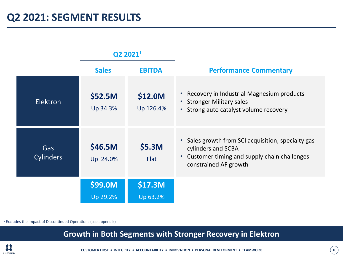|                         |                     | Q2 2021 <sup>1</sup>  |                                                                                                                                                               |
|-------------------------|---------------------|-----------------------|---------------------------------------------------------------------------------------------------------------------------------------------------------------|
|                         | <b>Sales</b>        | <b>EBITDA</b>         | <b>Performance Commentary</b>                                                                                                                                 |
| <b>Elektron</b>         | \$52.5M<br>Up 34.3% | \$12.0M<br>Up 126.4%  | Recovery in Industrial Magnesium products<br>$\bullet$<br>• Stronger Military sales<br>• Strong auto catalyst volume recovery                                 |
| Gas<br><b>Cylinders</b> | \$46.5M<br>Up 24.0% | \$5.3M<br><b>Flat</b> | • Sales growth from SCI acquisition, specialty gas<br>cylinders and SCBA<br>Customer timing and supply chain challenges<br>$\bullet$<br>constrained AF growth |
|                         | \$99.0M<br>Up 29.2% | \$17.3M<br>Up 63.2%   |                                                                                                                                                               |

<sup>1</sup> Excludes the impact of Discontinued Operations (see appendix)

**Growth in Both Segments with Stronger Recovery in Elektron**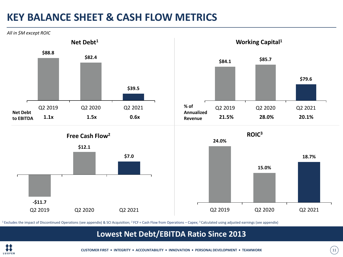### **KEY BALANCE SHEET & CASH FLOW METRICS**

*All in \$M except ROIC*



<sup>1</sup> Excludes the impact of Discontinued Operations (see appendix) & SCI Acquisition; <sup>2</sup> FCF = Cash Flow from Operations – Capex; <sup>3</sup> Calculated using adjusted earnings (see appendix)

#### **Lowest Net Debt/EBITDA Ratio Since 2013**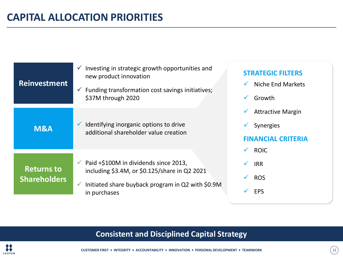### **CAPITAL ALLOCATION PRIORITIES**

| <b>Reinvestment</b>                      | Investing in strategic growth opportunities and<br>new product innovation<br>$\checkmark$ Funding transformation cost savings initiatives;<br>\$37M through 2020                        | <b>STRATEGIC FILTERS</b><br>Niche End Markets<br>$\checkmark$<br>Growth                               |
|------------------------------------------|-----------------------------------------------------------------------------------------------------------------------------------------------------------------------------------------|-------------------------------------------------------------------------------------------------------|
| <b>M&amp;A</b>                           | Identifying inorganic options to drive<br>additional shareholder value creation                                                                                                         | <b>Attractive Margin</b><br>$\checkmark$<br><b>Synergies</b><br><b>FINANCIAL CRITERIA</b>             |
| <b>Returns to</b><br><b>Shareholders</b> | $\sqrt{\ }$ Paid +\$100M in dividends since 2013,<br>including \$3.4M, or \$0.125/share in Q2 2021<br>Initiated share buyback program in Q2 with \$0.9M<br>$\checkmark$<br>in purchases | <b>ROIC</b><br>$\checkmark$<br><b>IRR</b><br>$\checkmark$<br><b>ROS</b><br>$\checkmark$<br><b>EPS</b> |

### **Consistent and Disciplined Capital Strategy**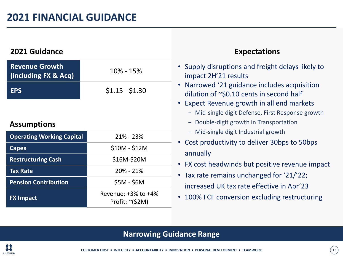| Revenue Growth<br>(including FX & Acq) | $10\% - 15\%$   |
|----------------------------------------|-----------------|
| <b>EPS</b>                             | $$1.15 - $1.30$ |

#### **Assumptions**

| <b>Operating Working Capital</b> | $21\% - 23\%$                          |
|----------------------------------|----------------------------------------|
| Capex                            | $$10M - $12M$                          |
| <b>Restructuring Cash</b>        | \$16M-\$20M                            |
| <b>Tax Rate</b>                  | 20% - 21%                              |
| <b>Pension Contribution</b>      | $$5M - $6M$                            |
| <b>FX Impact</b>                 | Revenue: +3% to +4%<br>Profit: ~(\$2M) |

#### **Expectations**

- Supply disruptions and freight delays likely to impact 2H'21 results
- Narrowed '21 guidance includes acquisition dilution of ~\$0.10 cents in second half
- Expect Revenue growth in all end markets
	- − Mid-single digit Defense, First Response growth
	- − Double-digit growth in Transportation
	- − Mid-single digit Industrial growth
- Cost productivity to deliver 30bps to 50bps annually
- FX cost headwinds but positive revenue impact
- Tax rate remains unchanged for '21/'22; increased UK tax rate effective in Apr'23
- 100% FCF conversion excluding restructuring

#### **Narrowing Guidance Range**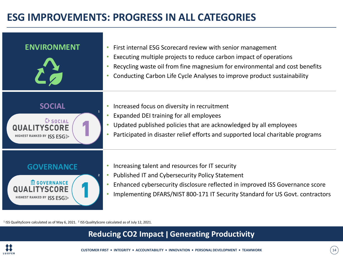## **ESG IMPROVEMENTS: PROGRESS IN ALL CATEGORIES**

| <b>ENVIRONME</b>                                                                | First internal ESG Scorecard review with senior management<br>$\bullet$<br>Executing multiple projects to reduce carbon impact of operations<br>$\bullet$<br>Recycling waste oil from fine magnesium for environmental and cost benefits<br>Conducting Carbon Life Cycle Analyses to improve product sustainability |
|---------------------------------------------------------------------------------|---------------------------------------------------------------------------------------------------------------------------------------------------------------------------------------------------------------------------------------------------------------------------------------------------------------------|
| <b>SOCIAL</b><br>$\mathbf{1}$<br>$\bullet$ SOCIAL<br>HIGHEST RANKED BY ISS ESGD | Increased focus on diversity in recruitment<br>Expanded DEI training for all employees<br>Updated published policies that are acknowledged by all employees<br>Participated in disaster relief efforts and supported local charitable programs                                                                      |
| <b>GOVERNANCE</b><br><b>III</b> GOVERNANCE<br>HIGHEST RANKED BY ISS ESGD        | Increasing talent and resources for IT security<br>Published IT and Cybersecurity Policy Statement<br>Enhanced cybersecurity disclosure reflected in improved ISS Governance score<br>Implementing DFARS/NIST 800-171 IT Security Standard for US Govt. contractors                                                 |

<sup>1</sup> ISS QualityScore calculated as of May 6, 2021. <sup>2</sup> ISS QualityScore calculated as of July 12, 2021.

### **Reducing CO2 Impact | Generating Productivity**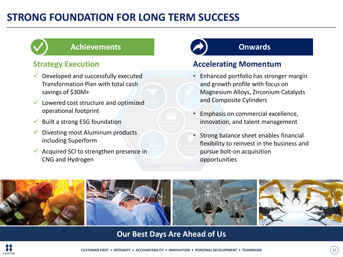### **STRONG FOUNDATION FOR LONG TERM SUCCESS**

#### **Achievements**

### **Strategy Execution**

- $\checkmark$  Developed and successfully executed Transformation Plan with total cash savings of \$30M+
- $\checkmark$  Lowered cost structure and optimized operational footprint
- $\checkmark$  Built a strong ESG foundation
- $\checkmark$  Divesting most Aluminum products including Superform
- ✔ Acquired SCI to strengthen presence in CNG and Hydrogen



#### **Onwards**

#### **Accelerating Momentum**

- Enhanced portfolio has stronger margin and growth profile with focus on Magnesium Alloys, Zirconium Catalysts and Composite Cylinders
- Emphasis on commercial excellence, innovation, and talent management
- Environmental, • Strong balance sheet enables financial flexibility to reinvest in the business and pursue bolt-on acquisition opportunities



#### **Our Best Days Are Ahead of Us**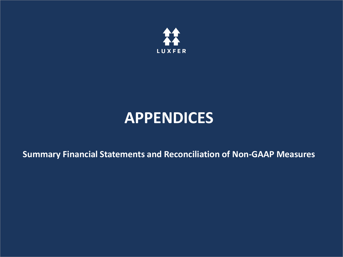

APPENDICES

# **APPENDICES**

**Summary Financial Statements and Reconciliation of Non-GAAP Measures**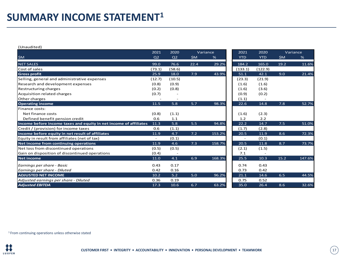### **SUMMARY INCOME STATEMENT<sup>1</sup>**

(Unaudited)

|                                                                   | 2021                     | 2020   |       | Variance |            | 2020       |       | Variance |
|-------------------------------------------------------------------|--------------------------|--------|-------|----------|------------|------------|-------|----------|
| ∣\$M                                                              | Q <sub>2</sub>           | Q2     | \$M\$ | %        | <b>YTD</b> | <b>YTD</b> | \$M\$ | %        |
| <b>NET SALES</b>                                                  | 99.0                     | 76.6   | 22.4  | 29.2%    | 184.2      | 165.0      | 19.2  | 11.6%    |
| Cost of sales                                                     | (73.1)                   | (58.6) |       |          | (133.1)    | (122.9)    |       |          |
| <b>Gross profit</b>                                               | 25.9                     | 18.0   | 7.9   | 43.9%    | 51.1       | 42.1       | 9.0   | 21.4%    |
| Selling, general and administrative expenses                      | (12.7)                   | (10.5) |       |          | (23.3)     | (21.9)     |       |          |
| Research and development expenses                                 | (0.8)                    | (0.9)  |       |          | (1.6)      | (1.6)      |       |          |
| Restructuring charges                                             | (0.2)                    | (0.8)  |       |          | (1.6)      | (3.6)      |       |          |
| Acquisition related charges                                       | (0.7)                    |        |       |          | (0.9)      | (0.2)      |       |          |
| Other charges                                                     |                          |        |       |          | (1.1)      |            |       |          |
| <b>Operating income</b>                                           | 11.5                     | 5.8    | 5.7   | 98.3%    | 22.6       | 14.8       | 7.8   | 52.7%    |
| Finance costs:                                                    |                          |        |       |          |            |            |       |          |
| Net finance costs                                                 | (0.8)                    | (1.1)  |       |          | (1.6)      | (2.3)      |       |          |
| Defined benefit pension credit                                    | 0.6                      | 1.1    |       |          | 1.2        | 2.2        |       |          |
| Income before income taxes and equity in net income of affiliates | 11.3                     | 5.8    | 5.5   | 94.8%    | 22.2       | 14.7       | 7.5   | 51.0%    |
| Credit / (provision) for income taxes                             | 0.6                      | (1.1)  |       |          | (1.7)      | (2.8)      |       |          |
| Income before equity in net result of affiliates                  | 11.9                     | 4.7    | 7.2   | 153.2%   | 20.5       | 11.9       | 8.6   | 72.3%    |
| Equity in result from affiliates (net of tax)                     | $\overline{\phantom{a}}$ | (0.1)  |       |          |            | (0.1)      |       |          |
| Net income from continuing operations                             | 11.9                     | 4.6    | 7.3   | 158.7%   | 20.5       | 11.8       | 8.7   | 73.7%    |
| Net loss from discontinued operations                             | (0.5)                    | (0.5)  |       |          | (2.1)      | (1.5)      |       |          |
| Gain on disposition of discontinued operations                    | (0.4)                    |        |       |          | 7.1        |            |       |          |
| <b>Net income</b>                                                 | 11.0                     | 4.1    | 6.9   | 168.3%   | 25.5       | 10.3       | 15.2  | 147.6%   |
| Earnings per share - Basic                                        | 0.43                     | 0.17   |       |          | 0.74       | 0.43       |       |          |
| Earnings per share - Diluted                                      | 0.42                     | 0.16   |       |          | 0.73       | 0.42       |       |          |
| <b>ADJUSTED NET INCOME</b>                                        | 10.2                     | 5.2    | 5.0   | 96.2%    | 21.1       | 14.6       | 6.5   | 44.5%    |
| Adjusted earnings per share - Diluted                             | 0.36                     | 0.19   |       |          | 0.75       | 0.52       |       |          |
| <b>Adjusted EBITDA</b>                                            | 17.3                     | 10.6   | 6.7   | 63.2%    | 35.0       | 26.4       | 8.6   | 32.6%    |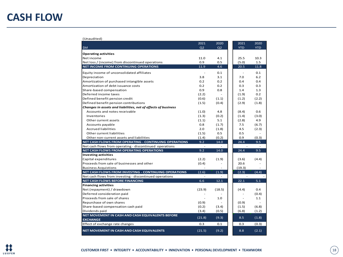### **CASH FLOW**

(Unaudited)

|                                                               | 2021           | 2020           | 2021       | 2020                     |
|---------------------------------------------------------------|----------------|----------------|------------|--------------------------|
| \$M                                                           | Q <sub>2</sub> | Q <sub>2</sub> | <b>YTD</b> | <b>YTD</b>               |
| <b>Operating activities</b>                                   |                |                |            |                          |
| Net income                                                    | 11.0           | 4.1            | 25.5       | 10.3                     |
| Net loss / (income) from discontinued operations              | 0.9            | 0.5            | (5.0)      | 1.5                      |
| <b>NET INCOME FROM CONTINUING OPERATIONS</b>                  | 11.9           | 4.6            | 20.5       | 11.8                     |
| Equity income of unconsolidated affiliates                    |                | 0.1            |            | 0.1                      |
| Depreciation                                                  | 3.8            | 3.1            | 7.0        | 6.2                      |
| Amortization of purchased intangible assets                   | 0.2            | 0.2            | 0.4        | 0.4                      |
| Amortization of debt issuance costs                           | 0.2            | 0.2            | 0.3        | 0.3                      |
| Share-based compensation                                      | 0.9            | 0.8            | 1.4        | 1.3                      |
| Deferred income taxes                                         | (2.2)          |                | (1.9)      | 0.2                      |
| Defined benefit pension credit                                | (0.6)          | (1.1)          | (1.2)      | (2.2)                    |
| Defined benefit pension contributions                         | (1.5)          | (0.4)          | (2.9)      | (1.8)                    |
| Changes in assets and liabilities, net of effects of business |                |                |            |                          |
| Accounts and notes receivable                                 | (1.0)          | 4.8            | (8.4)      | 0.6                      |
| Inventories                                                   | (1.3)          | (0.2)          | (1.4)      | (3.0)                    |
| Other current assets                                          | (1.1)          | 5.1            | (2.8)      | 4.9                      |
| Accounts payable                                              | 0.8            | (1.7)          | 7.5        | (6.7)                    |
| <b>Accrued liabilities</b>                                    | 2.0            |                | 4.5        | (2.3)                    |
| Other current liabilities                                     | (1.5)          | (1.8)<br>0.5   | 0.5        |                          |
| Other non-current assets and liabilities                      |                |                | 0.9        |                          |
| NET CASH FLOWS FROM OPERATING - CONTINUING OPERATIONS         | (1.4)<br>9.2   | (0.2)<br>14.0  | 24.4       | (0.3)<br>9.5             |
| Net cash flows from operating - discontinued operations       |                |                |            |                          |
| NET CASH FLOWS FROM OPERATING OPERATIONS                      | 9.2            | 14.0           | 24.4       | 9.5                      |
| <b>Investing activities</b>                                   |                |                |            |                          |
| Capital expenditures                                          | (2.2)          | (1.9)          | (3.6)      | (4.4)                    |
| Proceeds from sale of businesses and other                    | (0.4)          |                | 20.6       |                          |
| <b>Business Acquistions</b>                                   |                |                | (19.3)     |                          |
| NET CASH FLOWS FROM INVESTING - CONTINUING OPERATIONS         | (2.6)          | (1.9)          | (2.3)      | (4.4)                    |
| Net cash flows from investing - discontinued operations       |                |                |            | $\overline{\phantom{a}}$ |
| <b>NET CASH FLOWS BEFORE FINANCING</b>                        | 6.6            | 12.1           | 22.1       | 5.1                      |
| <b>Financing activities</b>                                   |                |                |            |                          |
| Net (repayment) / drawdown                                    | (23.9)         | (18.5)         | (4.4)      | 0.4                      |
| Deferred consideration paid                                   |                |                |            | (0.4)                    |
| Proceeds from sale of shares                                  |                | 1.0            |            | 1.1                      |
| Repurchase of own shares                                      | (0.9)          |                | (0.9)      |                          |
| Share-based compensation cash paid                            | (0.2)          | (3.4)          | (1.5)      | (6.8)                    |
| Dividends paid                                                | (3.4)          | (0.5)          | (6.8)      | (1.2)                    |
| NET MOVEMENT IN CASH AND CASH EQUIVALENTS BEFORE              |                |                |            |                          |
| <b>EXCHANGE</b>                                               | (21.8)         | (9.3)          | 8.5        | (1.8)                    |
| Effect of exchange rate changes                               | 0.3            | 0.1            | 0.3        | (0.3)                    |
| NET MOVEMENT IN CASH AND CASH EQUIVALENTS                     | (21.5)         | (9.2)          | 8.8        | (2.1)                    |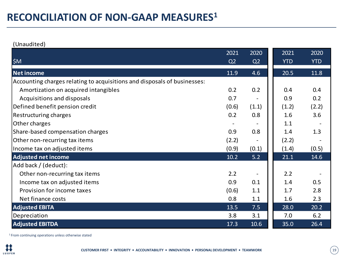### **RECONCILIATION OF NON-GAAP MEASURES<sup>1</sup>**

(Unaudited)

|                                                                          | 2021           | 2020           | 2021       | 2020           |
|--------------------------------------------------------------------------|----------------|----------------|------------|----------------|
| ∣\$M                                                                     | Q <sub>2</sub> | Q <sub>2</sub> | <b>YTD</b> | <b>YTD</b>     |
| Net income                                                               | 11.9           | 4.6            | 20.5       | 11.8           |
| Accounting charges relating to acquisitions and disposals of businesses: |                |                |            |                |
| Amortization on acquired intangibles                                     | 0.2            | 0.2            | 0.4        | 0.4            |
| Acquisitions and disposals                                               | 0.7            |                | 0.9        | 0.2            |
| Defined benefit pension credit                                           | (0.6)          | (1.1)          | (1.2)      | (2.2)          |
| Restructuring charges                                                    | 0.2            | 0.8            | 1.6        | 3.6            |
| Other charges                                                            |                |                | 1.1        |                |
| Share-based compensation charges                                         | 0.9            | 0.8            | 1.4        | 1.3            |
| Other non-recurring tax items                                            | (2.2)          |                | (2.2)      | $\blacksquare$ |
| Income tax on adjusted items                                             | (0.9)          | (0.1)          | (1.4)      | (0.5)          |
| <b>Adjusted net income</b>                                               | 10.2           | 5.2            | 21.1       | 14.6           |
| Add back / (deduct):                                                     |                |                |            |                |
| Other non-recurring tax items                                            | 2.2            |                | 2.2        |                |
| Income tax on adjusted items                                             | 0.9            | 0.1            | 1.4        | 0.5            |
| Provision for income taxes                                               | (0.6)          | 1.1            | 1.7        | 2.8            |
| Net finance costs                                                        | 0.8            | 1.1            | 1.6        | 2.3            |
| <b>Adjusted EBITA</b>                                                    | 13.5           | 7.5            | 28.0       | 20.2           |
| Depreciation                                                             | 3.8            | 3.1            | 7.0        | 6.2            |
| <b>Adjusted EBITDA</b>                                                   | 17.3           | 10.6           | 35.0       | 26.4           |

1 From continuing operations unless otherwise stated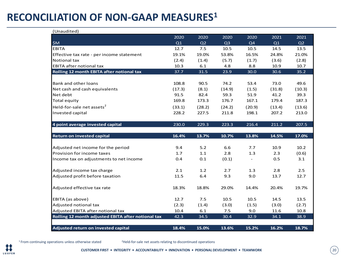### **RECONCILIATION OF NON-GAAP MEASURES<sup>1</sup>**

| (Unaudited)                                        |        |                |        |                          |        |                |
|----------------------------------------------------|--------|----------------|--------|--------------------------|--------|----------------|
|                                                    | 2020   | 2020           | 2020   | 2020                     | 2021   | 2021           |
| \$M\$                                              | Q1     | Q <sub>2</sub> | Q3     | Q4                       | Q1     | Q <sub>2</sub> |
| <b>EBITA</b>                                       | 12.7   | 7.5            | 10.5   | 10.5                     | 14.5   | 13.5           |
| Effective tax rate - per income statement          | 19.1%  | 19.0%          | 53.8%  | 16.5%                    | 24.8%  | 21.0%          |
| Notional tax                                       | (2.4)  | (1.4)          | (5.7)  | (1.7)                    | (3.6)  | (2.8)          |
| <b>EBITA after notional tax</b>                    | 10.3   | 6.1            | 4.8    | 8.8                      | 10.9   | 10.7           |
| Rolling 12 month EBITA after notional tax          | 37.7   | 31.5           | 23.9   | 30.0                     | 30.6   | 35.2           |
|                                                    |        |                |        |                          |        |                |
| Bank and other loans                               | 108.8  | 90.5           | 74.2   | 53.4                     | 73.0   | 49.6           |
| Net cash and cash equivalents                      | (17.3) | (8.1)          | (14.9) | (1.5)                    | (31.8) | (10.3)         |
| Net debt                                           | 91.5   | 82.4           | 59.3   | 51.9                     | 41.2   | 39.3           |
| Total equity                                       | 169.8  | 173.3          | 176.7  | 167.1                    | 179.4  | 187.3          |
| Held-for-sale net assets <sup>2</sup>              | (33.1) | (28.2)         | (24.2) | (20.9)                   | (13.4) | (13.6)         |
| Invested capital                                   | 228.2  | 227.5          | 211.8  | 198.1                    | 207.2  | 213.0          |
|                                                    |        |                |        |                          |        |                |
| 4 point average invested capital                   | 230.0  | 229.3          | 223.3  | 216.4                    | 211.2  | 207.5          |
|                                                    |        |                |        |                          |        |                |
|                                                    |        |                |        |                          |        |                |
| <b>Return on invested capital</b>                  | 16.4%  | 13.7%          | 10.7%  | 13.8%                    | 14.5%  | 17.0%          |
|                                                    |        |                |        |                          |        |                |
| Adjusted net income for the period                 | 9.4    | 5.2            | 6.6    | 7.7                      | 10.9   | 10.2           |
| Provision for income taxes                         | 1.7    | 1.1            | 2.8    | 1.3                      | 2.3    | (0.6)          |
| Income tax on adjustments to net income            | 0.4    | 0.1            | (0.1)  | $\overline{\phantom{a}}$ | 0.5    | 3.1            |
|                                                    |        |                |        |                          |        |                |
| Adjusted income tax charge                         | 2.1    | 1.2            | 2.7    | 1.3                      | 2.8    | 2.5            |
| Adjusted profit before taxation                    | 11.5   | 6.4            | 9.3    | 9.0                      | 13.7   | 12.7           |
|                                                    |        |                |        |                          |        |                |
| Adjusted effective tax rate                        | 18.3%  | 18.8%          | 29.0%  | 14.4%                    | 20.4%  | 19.7%          |
|                                                    |        |                |        |                          |        |                |
| EBITA (as above)                                   | 12.7   | 7.5            | 10.5   | 10.5                     | 14.5   | 13.5           |
| Adjusted notional tax                              | (2.3)  | (1.4)          | (3.0)  | (1.5)                    | (3.0)  | (2.7)          |
| Adjusted EBITA after notional tax                  | 10.4   | 6.1            | 7.5    | 9.0                      | 11.6   | 10.8           |
| Rolling 12 month adjusted EBITA after notional tax | 42.3   | 34.5           | 30.4   | 32.9                     | 34.1   | 38.9           |
| Adjusted return on invested capital                | 18.4%  | 15.0%          | 13.6%  | 15.2%                    | 16.2%  | 18.7%          |

<sup>1</sup>From continuing operations unless otherwise stated <sup>2</sup>Held-for-sale net assets relating to discontinued operations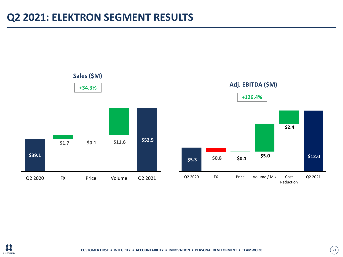### **Q2 2021: ELEKTRON SEGMENT RESULTS**



**\$12.0** 

Q2 2021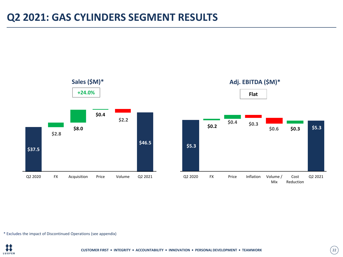### **Q2 2021: GAS CYLINDERS SEGMENT RESULTS**





\* Excludes the impact of Discontinued Operations (see appendix)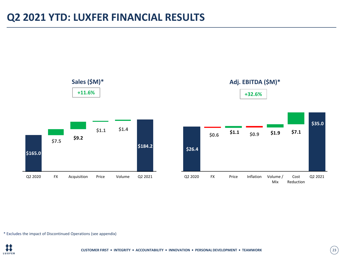### **Q2 2021 YTD: LUXFER FINANCIAL RESULTS**



\* Excludes the impact of Discontinued Operations (see appendix)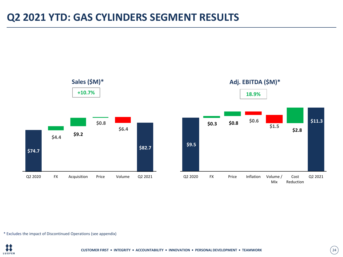### **Q2 2021 YTD: GAS CYLINDERS SEGMENT RESULTS**



\* Excludes the impact of Discontinued Operations (see appendix)

**\$2.8** 

Cost Reduction **\$11.3** 

Q2 2021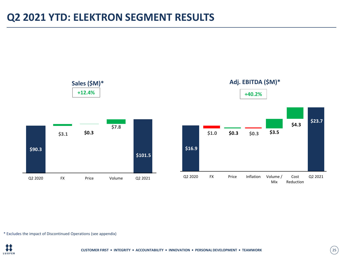### **Q2 2021 YTD: ELEKTRON SEGMENT RESULTS**



\* Excludes the impact of Discontinued Operations (see appendix)